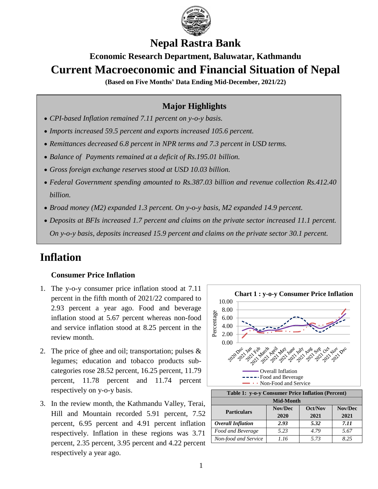

## **Nepal Rastra Bank**

# **Economic Research Department, Baluwatar, Kathmandu Current Macroeconomic and Financial Situation of Nepal**

**(Based on Five Months' Data Ending Mid-December, 2021/22)**

### **Major Highlights**

- *CPI-based Inflation remained 7.11 percent on y-o-y basis.*
- *Imports increased 59.5 percent and exports increased 105.6 percent.*
- *Remittances decreased 6.8 percent in NPR terms and 7.3 percent in USD terms.*
- *Balance of Payments remained at a deficit of Rs.195.01 billion.*
- *Gross foreign exchange reserves stood at USD 10.03 billion.*
- *Federal Government spending amounted to Rs.387.03 billion and revenue collection Rs.412.40 billion.*
- *Broad money (M2) expanded 1.3 percent. On y-o-y basis, M2 expanded 14.9 percent.*
- *Deposits at BFIs increased 1.7 percent and claims on the private sector increased 11.1 percent. On y-o-y basis, deposits increased 15.9 percent and claims on the private sector 30.1 percent.*

# **Inflation**

### **Consumer Price Inflation**

- 1. The y-o-y consumer price inflation stood at 7.11 percent in the fifth month of 2021/22 compared to 2.93 percent a year ago. Food and beverage inflation stood at 5.67 percent whereas non-food and service inflation stood at 8.25 percent in the review month.
- 2. The price of ghee and oil; transportation; pulses & legumes; education and tobacco products subcategories rose 28.52 percent, 16.25 percent, 11.79 percent, 11.78 percent and 11.74 percent respectively on y-o-y basis.
- 3. In the review month, the Kathmandu Valley, Terai, Hill and Mountain recorded 5.91 percent, 7.52 percent, 6.95 percent and 4.91 percent inflation respectively. Inflation in these regions was 3.71 percent, 2.35 percent, 3.95 percent and 4.22 percent respectively a year ago.



| Table 1: y-o-y Consumer Price Inflation (Percent) |                    |      |         |  |  |
|---------------------------------------------------|--------------------|------|---------|--|--|
| <b>Mid-Month</b>                                  |                    |      |         |  |  |
| <b>Particulars</b>                                | Nov/Dec<br>Oct/Nov |      | Nov/Dec |  |  |
|                                                   | 2020               | 2021 | 2021    |  |  |
| Overall Inflation                                 | 2.93               | 5.32 | 7.11    |  |  |
| Food and Beverage                                 | 5.23               | 4.79 | 5.67    |  |  |
| Non-food and Service                              | 1.16               | 5.73 | 8.25    |  |  |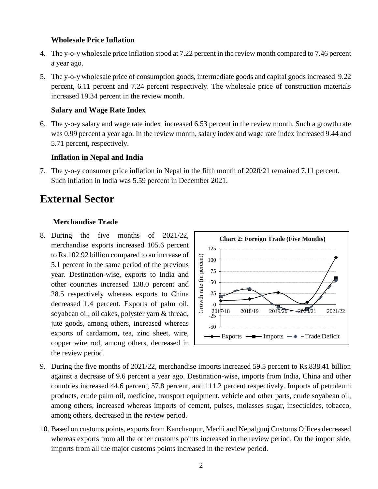#### **Wholesale Price Inflation**

- 4. The y-o-y wholesale price inflation stood at 7.22 percent in the review month compared to 7.46 percent a year ago.
- 5. The y-o-y wholesale price of consumption goods, intermediate goods and capital goods increased 9.22 percent, 6.11 percent and 7.24 percent respectively. The wholesale price of construction materials increased 19.34 percent in the review month.

#### **Salary and Wage Rate Index**

6. The y-o-y salary and wage rate index increased 6.53 percent in the review month. Such a growth rate was 0.99 percent a year ago. In the review month, salary index and wage rate index increased 9.44 and 5.71 percent, respectively.

### **Inflation in Nepal and India**

7. The y-o-y consumer price inflation in Nepal in the fifth month of 2020/21 remained 7.11 percent. Such inflation in India was 5.59 percent in December 2021.

## **External Sector**

#### **Merchandise Trade**

8. During the five months of 2021/22, merchandise exports increased 105.6 percent to Rs.102.92 billion compared to an increase of 5.1 percent in the same period of the previous year. Destination-wise, exports to India and other countries increased 138.0 percent and 28.5 respectively whereas exports to China decreased 1.4 percent. Exports of palm oil, soyabean oil, oil cakes, polyster yarn & thread, jute goods, among others, increased whereas exports of cardamom, tea, zinc sheet, wire, copper wire rod, among others, decreased in the review period.



- 9. During the five months of 2021/22, merchandise imports increased 59.5 percent to Rs.838.41 billion against a decrease of 9.6 percent a year ago. Destination-wise, imports from India, China and other countries increased 44.6 percent, 57.8 percent, and 111.2 percent respectively. Imports of petroleum products, crude palm oil, medicine, transport equipment, vehicle and other parts, crude soyabean oil, among others, increased whereas imports of cement, pulses, molasses sugar, insecticides, tobacco, among others, decreased in the review period.
- 10. Based on customs points, exports from Kanchanpur, Mechi and Nepalgunj Customs Offices decreased whereas exports from all the other customs points increased in the review period. On the import side, imports from all the major customs points increased in the review period.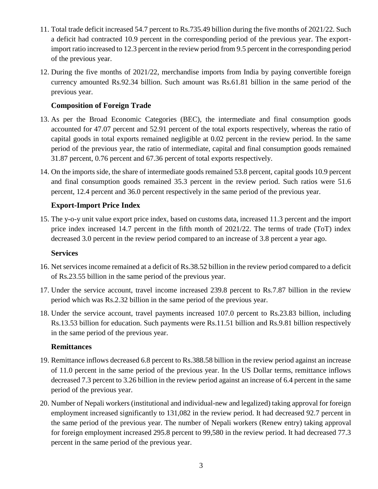- 11. Total trade deficit increased 54.7 percent to Rs.735.49 billion during the five months of 2021/22. Such a deficit had contracted 10.9 percent in the corresponding period of the previous year. The exportimport ratio increased to 12.3 percent in the review period from 9.5 percent in the corresponding period of the previous year.
- 12. During the five months of 2021/22, merchandise imports from India by paying convertible foreign currency amounted Rs.92.34 billion. Such amount was Rs.61.81 billion in the same period of the previous year.

### **Composition of Foreign Trade**

- 13. As per the Broad Economic Categories (BEC), the intermediate and final consumption goods accounted for 47.07 percent and 52.91 percent of the total exports respectively, whereas the ratio of capital goods in total exports remained negligible at 0.02 percent in the review period. In the same period of the previous year, the ratio of intermediate, capital and final consumption goods remained 31.87 percent, 0.76 percent and 67.36 percent of total exports respectively.
- 14. On the imports side, the share of intermediate goods remained 53.8 percent, capital goods 10.9 percent and final consumption goods remained 35.3 percent in the review period. Such ratios were 51.6 percent, 12.4 percent and 36.0 percent respectively in the same period of the previous year.

### **Export-Import Price Index**

15. The y-o-y unit value export price index, based on customs data, increased 11.3 percent and the import price index increased 14.7 percent in the fifth month of 2021/22. The terms of trade (ToT) index decreased 3.0 percent in the review period compared to an increase of 3.8 percent a year ago.

### **Services**

- 16. Net services income remained at a deficit of Rs.38.52 billion in the review period compared to a deficit of Rs.23.55 billion in the same period of the previous year.
- 17. Under the service account, travel income increased 239.8 percent to Rs.7.87 billion in the review period which was Rs.2.32 billion in the same period of the previous year.
- 18. Under the service account, travel payments increased 107.0 percent to Rs.23.83 billion, including Rs.13.53 billion for education. Such payments were Rs.11.51 billion and Rs.9.81 billion respectively in the same period of the previous year.

### **Remittances**

- 19. Remittance inflows decreased 6.8 percent to Rs.388.58 billion in the review period against an increase of 11.0 percent in the same period of the previous year. In the US Dollar terms, remittance inflows decreased 7.3 percent to 3.26 billion in the review period against an increase of 6.4 percent in the same period of the previous year.
- 20. Number of Nepali workers (institutional and individual-new and legalized) taking approval for foreign employment increased significantly to 131,082 in the review period. It had decreased 92.7 percent in the same period of the previous year. The number of Nepali workers (Renew entry) taking approval for foreign employment increased 295.8 percent to 99,580 in the review period. It had decreased 77.3 percent in the same period of the previous year.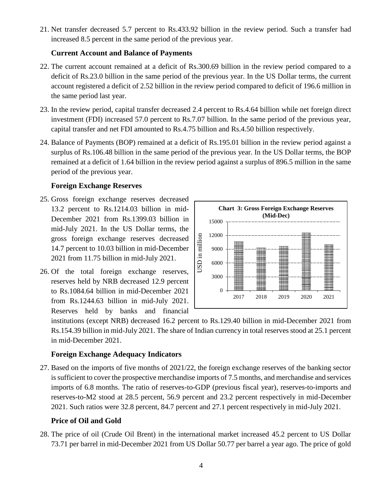21. Net transfer decreased 5.7 percent to Rs.433.92 billion in the review period. Such a transfer had increased 8.5 percent in the same period of the previous year.

### **Current Account and Balance of Payments**

- 22. The current account remained at a deficit of Rs.300.69 billion in the review period compared to a deficit of Rs.23.0 billion in the same period of the previous year. In the US Dollar terms, the current account registered a deficit of 2.52 billion in the review period compared to deficit of 196.6 million in the same period last year.
- 23. In the review period, capital transfer decreased 2.4 percent to Rs.4.64 billion while net foreign direct investment (FDI) increased 57.0 percent to Rs.7.07 billion. In the same period of the previous year, capital transfer and net FDI amounted to Rs.4.75 billion and Rs.4.50 billion respectively.
- 24. Balance of Payments (BOP) remained at a deficit of Rs.195.01 billion in the review period against a surplus of Rs.106.48 billion in the same period of the previous year. In the US Dollar terms, the BOP remained at a deficit of 1.64 billion in the review period against a surplus of 896.5 million in the same period of the previous year.

### **Foreign Exchange Reserves**

- 25. Gross foreign exchange reserves decreased 13.2 percent to Rs.1214.03 billion in mid-December 2021 from Rs.1399.03 billion in mid-July 2021. In the US Dollar terms, the gross foreign exchange reserves decreased 14.7 percent to 10.03 billion in mid-December 2021 from 11.75 billion in mid-July 2021.
- 26. Of the total foreign exchange reserves, reserves held by NRB decreased 12.9 percent to Rs.1084.64 billion in mid-December 2021 from Rs.1244.63 billion in mid-July 2021. Reserves held by banks and financial



institutions (except NRB) decreased 16.2 percent to Rs.129.40 billion in mid-December 2021 from Rs.154.39 billion in mid-July 2021. The share of Indian currency in total reserves stood at 25.1 percent in mid-December 2021.

### **Foreign Exchange Adequacy Indicators**

27. Based on the imports of five months of 2021/22, the foreign exchange reserves of the banking sector is sufficient to cover the prospective merchandise imports of 7.5 months, and merchandise and services imports of 6.8 months. The ratio of reserves-to-GDP (previous fiscal year), reserves-to-imports and reserves-to-M2 stood at 28.5 percent, 56.9 percent and 23.2 percent respectively in mid-December 2021. Such ratios were 32.8 percent, 84.7 percent and 27.1 percent respectively in mid-July 2021.

### **Price of Oil and Gold**

28. The price of oil (Crude Oil Brent) in the international market increased 45.2 percent to US Dollar 73.71 per barrel in mid-December 2021 from US Dollar 50.77 per barrel a year ago. The price of gold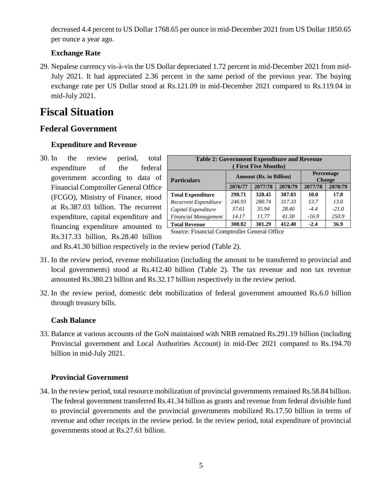decreased 4.4 percent to US Dollar 1768.65 per ounce in mid-December 2021 from US Dollar 1850.65 per ounce a year ago.

### **Exchange Rate**

29. Nepalese currency vis-à-vis the US Dollar depreciated 1.72 percent in mid-December 2021 from mid-July 2021. It had appreciated 2.36 percent in the same period of the previous year. The buying exchange rate per US Dollar stood at Rs.121.09 in mid-December 2021 compared to Rs.119.04 in mid-July 2021.

# **Fiscal Situation**

### **Federal Government**

### **Expenditure and Revenue**

30. In the review period, total expenditure of the federal government according to data of Financial Comptroller General Office (FCGO), Ministry of Finance, stood at Rs.387.03 billion. The recurrent expenditure, capital expenditure and financing expenditure amounted to Rs.317.33 billion, Rs.28.40 billion

| <b>Table 2: Government Expenditure and Revenue</b><br><b>(First Five Months)</b> |         |                                |                                    |         |         |  |
|----------------------------------------------------------------------------------|---------|--------------------------------|------------------------------------|---------|---------|--|
| <b>Particulars</b>                                                               |         | <b>Amount (Rs. in Billion)</b> | <b>Percentage</b><br><b>Change</b> |         |         |  |
|                                                                                  | 2076/77 | 2077/78                        | 2078/79                            | 2077/78 | 2078/79 |  |
| <b>Total Expenditure</b>                                                         | 298.71  | 328.45                         | 387.03                             | 10.0    | 17.8    |  |
| Recurrent Expenditure                                                            | 246.93  | 280.74                         | 317.33                             | 13.7    | 13.0    |  |
| Capital Expenditure                                                              | 37.61   | 35.94                          | 28.40                              | $-4.4$  | $-21.0$ |  |
| <b>Financial Management</b>                                                      | 14.17   | 11.77                          | 41.30                              | $-16.9$ | 250.9   |  |
| <b>Total Revenue</b>                                                             | 308.82  | 301.29                         | 412.40                             | $-2.4$  | 36.9    |  |

Source: Financial Comptroller General Office

and Rs.41.30 billion respectively in the review period (Table 2).

- 31. In the review period, revenue mobilization (including the amount to be transferred to provincial and local governments) stood at Rs.412.40 billion (Table 2). The tax revenue and non tax revenue amounted Rs.380.23 billion and Rs.32.17 billion respectively in the review period.
- 32. In the review period, domestic debt mobilization of federal government amounted Rs.6.0 billion through treasury bills.

### **Cash Balance**

33. Balance at various accounts of the GoN maintained with NRB remained Rs.291.19 billion (including Provincial government and Local Authorities Account) in mid-Dec 2021 compared to Rs.194.70 billion in mid-July 2021.

### **Provincial Government**

34. In the review period, total resource mobilization of provincial governments remained Rs.58.84 billion. The federal government transferred Rs.41.34 billion as grants and revenue from federal divisible fund to provincial governments and the provincial governments mobilized Rs.17.50 billion in terms of revenue and other receipts in the review period. In the review period, total expenditure of provincial governments stood at Rs.27.61 billion.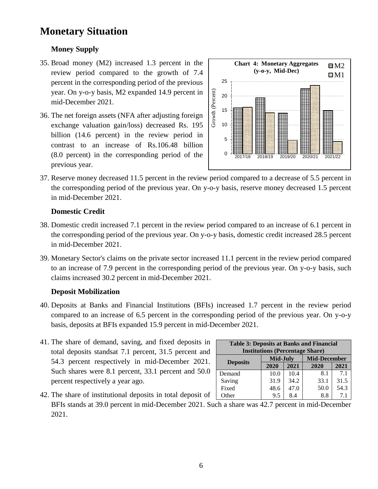## **Monetary Situation**

### **Money Supply**

- 35. Broad money (M2) increased 1.3 percent in the review period compared to the growth of 7.4 percent in the corresponding period of the previous year. On y-o-y basis, M2 expanded 14.9 percent in mid-December 2021.
- 36. The net foreign assets (NFA after adjusting foreign exchange valuation gain/loss) decreased Rs. 195 billion (14.6 percent) in the review period in contrast to an increase of Rs.106.48 billion (8.0 percent) in the corresponding period of the previous year.



37. Reserve money decreased 11.5 percent in the review period compared to a decrease of 5.5 percent in the corresponding period of the previous year. On y-o-y basis, reserve money decreased 1.5 percent in mid-December 2021.

### **Domestic Credit**

- 38. Domestic credit increased 7.1 percent in the review period compared to an increase of 6.1 percent in the corresponding period of the previous year. On y-o-y basis, domestic credit increased 28.5 percent in mid-December 2021.
- 39. Monetary Sector's claims on the private sector increased 11.1 percent in the review period compared to an increase of 7.9 percent in the corresponding period of the previous year. On y-o-y basis, such claims increased 30.2 percent in mid-December 2021.

### **Deposit Mobilization**

- 40. Deposits at Banks and Financial Institutions (BFIs) increased 1.7 percent in the review period compared to an increase of 6.5 percent in the corresponding period of the previous year. On y-o-y basis, deposits at BFIs expanded 15.9 percent in mid-December 2021.
- 41. The share of demand, saving, and fixed deposits in total deposits standsat 7.1 percent, 31.5 percent and 54.3 percent respectively in mid-December 2021. Such shares were 8.1 percent, 33.1 percent and 50.0 percent respectively a year ago.

| <b>Table 3: Deposits at Banks and Financial</b><br><b>Institutions (Percentage Share)</b> |                 |      |                     |      |  |  |  |
|-------------------------------------------------------------------------------------------|-----------------|------|---------------------|------|--|--|--|
|                                                                                           | <b>Mid-July</b> |      | <b>Mid-December</b> |      |  |  |  |
| <b>Deposits</b>                                                                           | 2020            | 2021 | 2020                | 2021 |  |  |  |
| Demand                                                                                    | 10.0            | 10.4 | 8.1                 | 7.1  |  |  |  |
| Saving                                                                                    | 31.9            | 34.2 | 33.1                | 31.5 |  |  |  |
| Fixed                                                                                     | 48.6            | 47.0 | 50.0                | 54.3 |  |  |  |
| Other                                                                                     | 9.5             | 8.4  | 8.8                 | 7.1  |  |  |  |

42. The share of institutional deposits in total deposit of BFIs stands at 39.0 percent in mid-December 2021. Such a share was 42.7 percent in mid-December 2021. Other | 9.5 | 8.4 | 8.8 | 7.1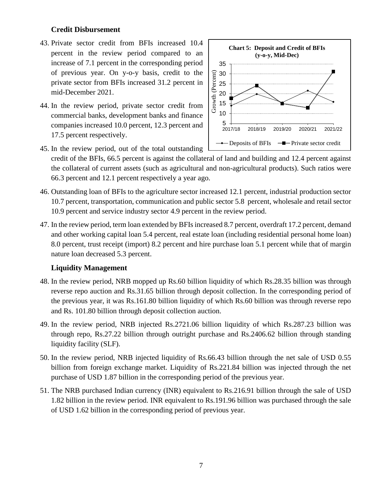### **Credit Disbursement**

- 43. Private sector credit from BFIs increased 10.4 percent in the review period compared to an increase of 7.1 percent in the corresponding period of previous year. On y-o-y basis, credit to the private sector from BFIs increased 31.2 percent in mid-December 2021.
- 44. In the review period, private sector credit from commercial banks, development banks and finance companies increased 10.0 percent, 12.3 percent and 17.5 percent respectively.



- 45. In the review period, out of the total outstanding credit of the BFIs, 66.5 percent is against the collateral of land and building and 12.4 percent against the collateral of current assets (such as agricultural and non-agricultural products). Such ratios were 66.3 percent and 12.1 percent respectively a year ago.
- 46. Outstanding loan of BFIs to the agriculture sector increased 12.1 percent, industrial production sector 10.7 percent, transportation, communication and public sector 5.8 percent, wholesale and retail sector 10.9 percent and service industry sector 4.9 percent in the review period.
- 47. In the review period, term loan extended by BFIs increased 8.7 percent, overdraft 17.2 percent, demand and other working capital loan 5.4 percent, real estate loan (including residential personal home loan) 8.0 percent, trust receipt (import) 8.2 percent and hire purchase loan 5.1 percent while that of margin nature loan decreased 5.3 percent.

### **Liquidity Management**

- 48. In the review period, NRB mopped up Rs.60 billion liquidity of which Rs.28.35 billion was through reverse repo auction and Rs.31.65 billion through deposit collection. In the corresponding period of the previous year, it was Rs.161.80 billion liquidity of which Rs.60 billion was through reverse repo and Rs. 101.80 billion through deposit collection auction.
- 49. In the review period, NRB injected Rs.2721.06 billion liquidity of which Rs.287.23 billion was through repo, Rs.27.22 billion through outright purchase and Rs.2406.62 billion through standing liquidity facility (SLF).
- 50. In the review period, NRB injected liquidity of Rs.66.43 billion through the net sale of USD 0.55 billion from foreign exchange market. Liquidity of Rs.221.84 billion was injected through the net purchase of USD 1.87 billion in the corresponding period of the previous year.
- 51. The NRB purchased Indian currency (INR) equivalent to Rs.216.91 billion through the sale of USD 1.82 billion in the review period. INR equivalent to Rs.191.96 billion was purchased through the sale of USD 1.62 billion in the corresponding period of previous year.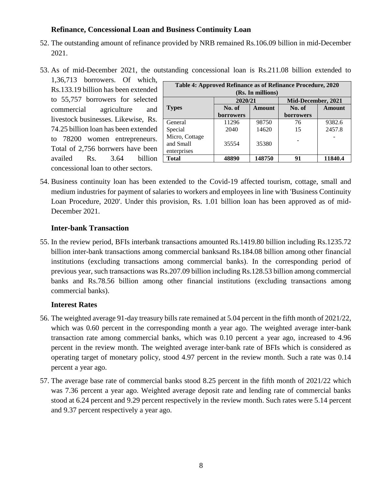### **Refinance, Concessional Loan and Business Continuity Loan**

- 52. The outstanding amount of refinance provided by NRB remained Rs.106.09 billion in mid-December 2021.
- 53. As of mid-December 2021, the outstanding concessional loan is Rs.211.08 billion extended to
	- 1,36,713 borrowers. Of which, Rs.133.19 billion has been extended to 55,757 borrowers for selected commercial agriculture and livestock businesses. Likewise, Rs. 74.25 billion loan has been extended to 78200 women entrepreneurs. Total of 2,756 borrwers have been availed Rs. 3.64 billion concessional loan to other sectors.

| Table 4: Approved Refinance as of Refinance Procedure, 2020 |                  |        |                  |                    |  |  |
|-------------------------------------------------------------|------------------|--------|------------------|--------------------|--|--|
| (Rs. In millions)                                           |                  |        |                  |                    |  |  |
|                                                             | 2020/21          |        |                  | Mid-December, 2021 |  |  |
| <b>Types</b>                                                | No. of           | Amount | No. of           | Amount             |  |  |
|                                                             | <b>borrowers</b> |        | <b>borrowers</b> |                    |  |  |
| General                                                     | 11296            | 98750  | 76               | 9382.6             |  |  |
| Special                                                     | 2040             | 14620  | 15               | 2457.8             |  |  |
| Micro, Cottage<br>and Small<br>enterprises                  | 35554            | 35380  |                  |                    |  |  |
| <b>Total</b>                                                | 48890            | 148750 | 91               | 11840.4            |  |  |
|                                                             |                  |        |                  |                    |  |  |

54. Business continuity loan has been extended to the Covid-19 affected tourism, cottage, small and medium industries for payment of salaries to workers and employees in line with 'Business Continuity Loan Procedure, 2020'. Under this provision, Rs. 1.01 billion loan has been approved as of mid-December 2021.

### **Inter-bank Transaction**

55. In the review period, BFIs interbank transactions amounted Rs.1419.80 billion including Rs.1235.72 billion inter-bank transactions among commercial banksand Rs.184.08 billion among other financial institutions (excluding transactions among commercial banks). In the corresponding period of previous year, such transactions was Rs.207.09 billion including Rs.128.53 billion among commercial banks and Rs.78.56 billion among other financial institutions (excluding transactions among commercial banks).

### **Interest Rates**

- 56. The weighted average 91-day treasury bills rate remained at 5.04 percent in the fifth month of 2021/22, which was 0.60 percent in the corresponding month a year ago. The weighted average inter-bank transaction rate among commercial banks, which was 0.10 percent a year ago, increased to 4.96 percent in the review month. The weighted average inter-bank rate of BFIs which is considered as operating target of monetary policy, stood 4.97 percent in the review month. Such a rate was 0.14 percent a year ago.
- 57. The average base rate of commercial banks stood 8.25 percent in the fifth month of 2021/22 which was 7.36 percent a year ago. Weighted average deposit rate and lending rate of commercial banks stood at 6.24 percent and 9.29 percent respectively in the review month. Such rates were 5.14 percent and 9.37 percent respectively a year ago.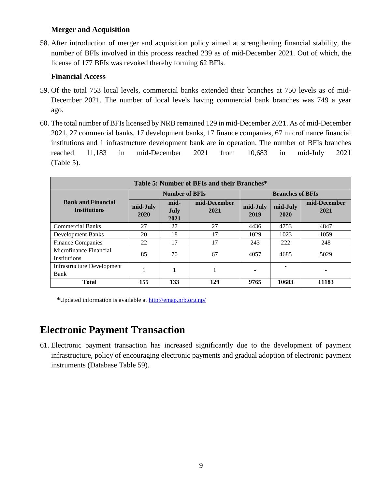### **Merger and Acquisition**

58. After introduction of merger and acquisition policy aimed at strengthening financial stability, the number of BFIs involved in this process reached 239 as of mid-December 2021. Out of which, the license of 177 BFIs was revoked thereby forming 62 BFIs.

### **Financial Access**

- 59. Of the total 753 local levels, commercial banks extended their branches at 750 levels as of mid-December 2021. The number of local levels having commercial bank branches was 749 a year ago.
- 60. The total number of BFIs licensed by NRB remained 129 in mid-December 2021. As of mid-December 2021, 27 commercial banks, 17 development banks, 17 finance companies, 67 microfinance financial institutions and 1 infrastructure development bank are in operation. The number of BFIs branches reached 11,183 in mid-December 2021 from 10,683 in mid-July 2021 (Table 5).

| Table 5: Number of BFIs and their Branches*      |                       |                             |                      |                         |                  |                      |
|--------------------------------------------------|-----------------------|-----------------------------|----------------------|-------------------------|------------------|----------------------|
| <b>Bank and Financial</b><br><b>Institutions</b> | <b>Number of BFIs</b> |                             |                      | <b>Branches of BFIs</b> |                  |                      |
|                                                  | mid-July<br>2020      | mid-<br><b>July</b><br>2021 | mid-December<br>2021 | mid-July<br>2019        | mid-July<br>2020 | mid-December<br>2021 |
| <b>Commercial Banks</b>                          | 27                    | 27                          | 27                   | 4436                    | 4753             | 4847                 |
| <b>Development Banks</b>                         | 20                    | 18                          | 17                   | 1029                    | 1023             | 1059                 |
| <b>Finance Companies</b>                         | 22                    | 17                          | 17                   | 243                     | 222              | 248                  |
| Microfinance Financial<br>Institutions           | 85                    | 70                          | 67                   | 4057                    | 4685             | 5029                 |
| Infrastructure Development<br>Bank               |                       |                             |                      |                         |                  | -                    |
| <b>Total</b>                                     | 155                   | 133                         | 129                  | 9765                    | 10683            | 11183                |

**\***Updated information is available at<http://emap.nrb.org.np/>

## **Electronic Payment Transaction**

61. Electronic payment transaction has increased significantly due to the development of payment infrastructure, policy of encouraging electronic payments and gradual adoption of electronic payment instruments (Database Table 59).